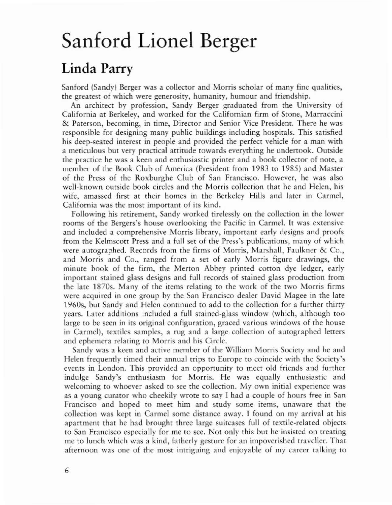## Sanford Lionel Berger

## Linda Parry

Sanford (Sandy) Berger was a collector and Morris scholar of many fine qualities, the greatest of which were generosity, humanity, humour and friendship.

An architect by profession, Sandy Berger graduated from the University of California at Berkeley, and worked for the Californian firm of Stone, Marraccini & Parerson, becoming, in time, Direcror and Senior Vice President. There he was responsible for designing many public buildings including hospitals. This satisfied his deep-seared interest in people and provided the perfect vehicle for a man with a meticulous but very practical attitude rewards everything he undertook. Outside the practice he was a keen and enthusiastic primer and a book collector of note, a member of the Book Club of America (President from 1983 to 1985) and Master of the Press of the Roxburghe Club of San Francisco. However, he was also well-known outside book circles and the Morris collection that he and Helen, his wife, amassed first at their homes in the Berkeley Hills and later in Carmel, California was the most important of its kind.

Following his retirement, Sandy worked tirelessly on the collection in the lower rooms of the Bergers's house overlooking the Pacific in Carmel. It was extensive and included a comprehensive Morris library, important early designs and proofs from the Kelmscott Press and a full set of the Press's publications, many of which were autographed. Records from the firms of Morris, Marshall, Faulkner & Co., and Morris and Co., ranged from a set of early Morris figure drawings, the minute book of the firm, the Merton Abbey printed corton dye ledger, early important stained glass designs and full records of stained glass production from the late 1870s. Many of the items relating to the work of the two Morris firms were acquired in one group by the San Francisco dealer David Magee in the late 1960s, bur Sandy and Helen continued to add to the collection for a further thiny years. Later additions included a full stained~glass window (which, although too large to be seen in irs original configuration, graced various windows of the house in Carmel), textiles samples, a rug and a large collection of autographed letters and ephemera relating to Morris and his Circle.

Sandy was a keen and active member of the William Morris Society and he and Helen frequently timed their annual trips to Europe to coincide with the Society's events in London. This provided an opportunity to meet old friends and further indulge Sandy's enthusiasm for Morris. He was equally enthusiastic and welcoming to whoever asked to see the collection. My own initial experience was as a young curator who cheekily wrote to say I had a couple of hours free in San Francisco and hoped to meet him and study some items, unaware that the collection was kept in Carmel some distance away. I found on my arrival at his apartment that he had brought three large suitcases full of textile-related objects to San Francisco especially for me to sec. Not only rhis but he insisted on treating me to lunch which was a kind, fatherly gesture for an impoverished traveller. Thar afternoon was one of the most intriguing and enjoyable of my career talking to